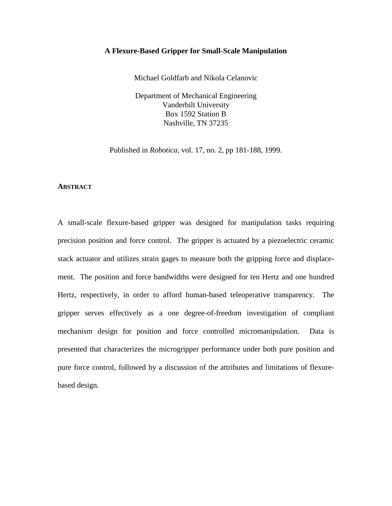## **A Flexure-Based Gripper for Small-Scale Manipulation**

Michael Goldfarb and Nikola Celanovic

Department of Mechanical Engineering Vanderbilt University Box 1592 Station B Nashville, TN 37235

Published in *Robotica,* vol. 17, no. 2, pp 181-188, 1999.

### **ABSTRACT**

A small-scale flexure-based gripper was designed for manipulation tasks requiring precision position and force control. The gripper is actuated by a piezoelectric ceramic stack actuator and utilizes strain gages to measure both the gripping force and displacement. The position and force bandwidths were designed for ten Hertz and one hundred Hertz, respectively, in order to afford human-based teleoperative transparency. The gripper serves effectively as a one degree-of-freedom investigation of compliant mechanism design for position and force controlled micromanipulation. Data is presented that characterizes the microgripper performance under both pure position and pure force control, followed by a discussion of the attributes and limitations of flexurebased design.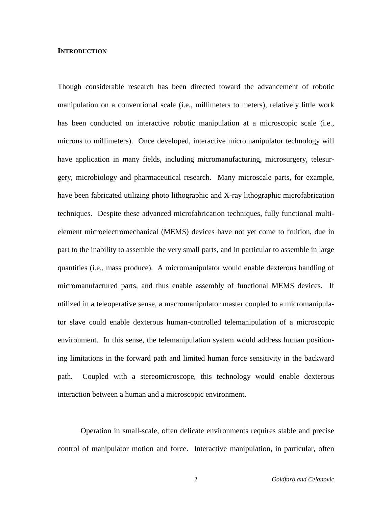## **INTRODUCTION**

Though considerable research has been directed toward the advancement of robotic manipulation on a conventional scale (i.e., millimeters to meters), relatively little work has been conducted on interactive robotic manipulation at a microscopic scale (i.e., microns to millimeters). Once developed, interactive micromanipulator technology will have application in many fields, including micromanufacturing, microsurgery, telesurgery, microbiology and pharmaceutical research. Many microscale parts, for example, have been fabricated utilizing photo lithographic and X-ray lithographic microfabrication techniques. Despite these advanced microfabrication techniques, fully functional multielement microelectromechanical (MEMS) devices have not yet come to fruition, due in part to the inability to assemble the very small parts, and in particular to assemble in large quantities (i.e., mass produce). A micromanipulator would enable dexterous handling of micromanufactured parts, and thus enable assembly of functional MEMS devices. If utilized in a teleoperative sense, a macromanipulator master coupled to a micromanipulator slave could enable dexterous human-controlled telemanipulation of a microscopic environment. In this sense, the telemanipulation system would address human positioning limitations in the forward path and limited human force sensitivity in the backward path. Coupled with a stereomicroscope, this technology would enable dexterous interaction between a human and a microscopic environment.

Operation in small-scale, often delicate environments requires stable and precise control of manipulator motion and force. Interactive manipulation, in particular, often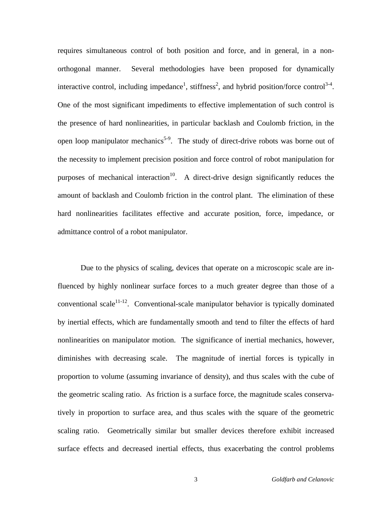requires simultaneous control of both position and force, and in general, in a nonorthogonal manner. Several methodologies have been proposed for dynamically interactive control, including impedance<sup>1</sup>, stiffness<sup>2</sup>, and hybrid position/force control<sup>3-4</sup>. One of the most significant impediments to effective implementation of such control is the presence of hard nonlinearities, in particular backlash and Coulomb friction, in the open loop manipulator mechanics<sup>5-9</sup>. The study of direct-drive robots was borne out of the necessity to implement precision position and force control of robot manipulation for purposes of mechanical interaction<sup>10</sup>. A direct-drive design significantly reduces the amount of backlash and Coulomb friction in the control plant. The elimination of these hard nonlinearities facilitates effective and accurate position, force, impedance, or admittance control of a robot manipulator.

Due to the physics of scaling, devices that operate on a microscopic scale are influenced by highly nonlinear surface forces to a much greater degree than those of a conventional scale<sup>11-12</sup>. Conventional-scale manipulator behavior is typically dominated by inertial effects, which are fundamentally smooth and tend to filter the effects of hard nonlinearities on manipulator motion. The significance of inertial mechanics, however, diminishes with decreasing scale. The magnitude of inertial forces is typically in proportion to volume (assuming invariance of density), and thus scales with the cube of the geometric scaling ratio. As friction is a surface force, the magnitude scales conservatively in proportion to surface area, and thus scales with the square of the geometric scaling ratio. Geometrically similar but smaller devices therefore exhibit increased surface effects and decreased inertial effects, thus exacerbating the control problems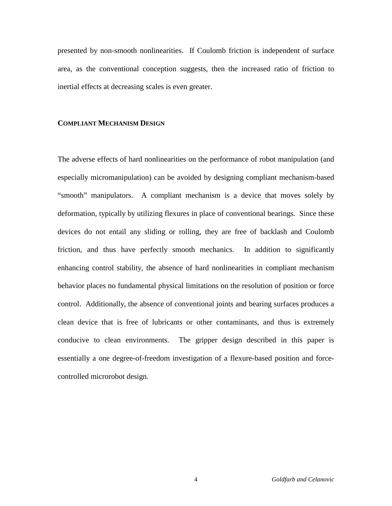presented by non-smooth nonlinearities. If Coulomb friction is independent of surface area, as the conventional conception suggests, then the increased ratio of friction to inertial effects at decreasing scales is even greater.

## **COMPLIANT MECHANISM DESIGN**

The adverse effects of hard nonlinearities on the performance of robot manipulation (and especially micromanipulation) can be avoided by designing compliant mechanism-based "smooth" manipulators. A compliant mechanism is a device that moves solely by deformation, typically by utilizing flexures in place of conventional bearings. Since these devices do not entail any sliding or rolling, they are free of backlash and Coulomb friction, and thus have perfectly smooth mechanics. In addition to significantly enhancing control stability, the absence of hard nonlinearities in compliant mechanism behavior places no fundamental physical limitations on the resolution of position or force control. Additionally, the absence of conventional joints and bearing surfaces produces a clean device that is free of lubricants or other contaminants, and thus is extremely conducive to clean environments. The gripper design described in this paper is essentially a one degree-of-freedom investigation of a flexure-based position and forcecontrolled microrobot design.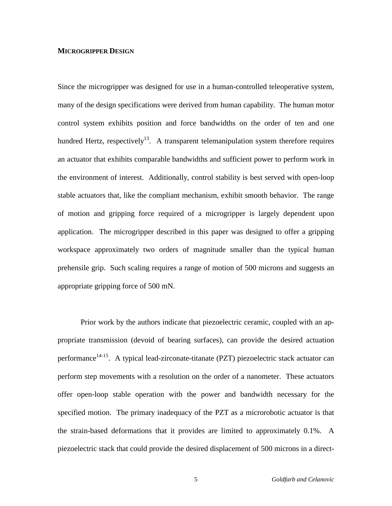### **MICROGRIPPER DESIGN**

Since the microgripper was designed for use in a human-controlled teleoperative system, many of the design specifications were derived from human capability. The human motor control system exhibits position and force bandwidths on the order of ten and one hundred Hertz, respectively<sup>13</sup>. A transparent telemanipulation system therefore requires an actuator that exhibits comparable bandwidths and sufficient power to perform work in the environment of interest. Additionally, control stability is best served with open-loop stable actuators that, like the compliant mechanism, exhibit smooth behavior. The range of motion and gripping force required of a microgripper is largely dependent upon application. The microgripper described in this paper was designed to offer a gripping workspace approximately two orders of magnitude smaller than the typical human prehensile grip. Such scaling requires a range of motion of 500 microns and suggests an appropriate gripping force of 500 mN.

Prior work by the authors indicate that piezoelectric ceramic, coupled with an appropriate transmission (devoid of bearing surfaces), can provide the desired actuation performance<sup>14-15</sup>. A typical lead-zirconate-titanate (PZT) piezoelectric stack actuator can perform step movements with a resolution on the order of a nanometer. These actuators offer open-loop stable operation with the power and bandwidth necessary for the specified motion. The primary inadequacy of the PZT as a microrobotic actuator is that the strain-based deformations that it provides are limited to approximately 0.1%. A piezoelectric stack that could provide the desired displacement of 500 microns in a direct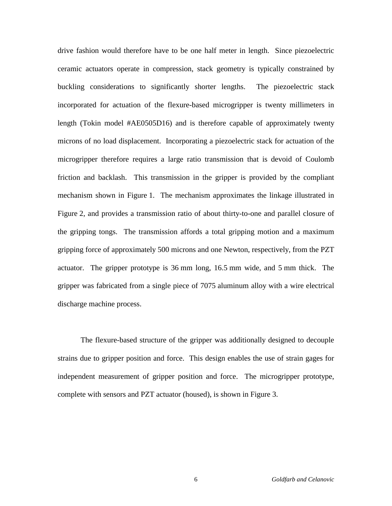drive fashion would therefore have to be one half meter in length. Since piezoelectric ceramic actuators operate in compression, stack geometry is typically constrained by buckling considerations to significantly shorter lengths. The piezoelectric stack incorporated for actuation of the flexure-based microgripper is twenty millimeters in length (Tokin model #AE0505D16) and is therefore capable of approximately twenty microns of no load displacement. Incorporating a piezoelectric stack for actuation of the microgripper therefore requires a large ratio transmission that is devoid of Coulomb friction and backlash. This transmission in the gripper is provided by the compliant mechanism shown in Figure 1. The mechanism approximates the linkage illustrated in Figure 2, and provides a transmission ratio of about thirty-to-one and parallel closure of the gripping tongs. The transmission affords a total gripping motion and a maximum gripping force of approximately 500 microns and one Newton, respectively, from the PZT actuator. The gripper prototype is 36 mm long, 16.5 mm wide, and 5 mm thick. The gripper was fabricated from a single piece of 7075 aluminum alloy with a wire electrical discharge machine process.

The flexure-based structure of the gripper was additionally designed to decouple strains due to gripper position and force. This design enables the use of strain gages for independent measurement of gripper position and force. The microgripper prototype, complete with sensors and PZT actuator (housed), is shown in Figure 3.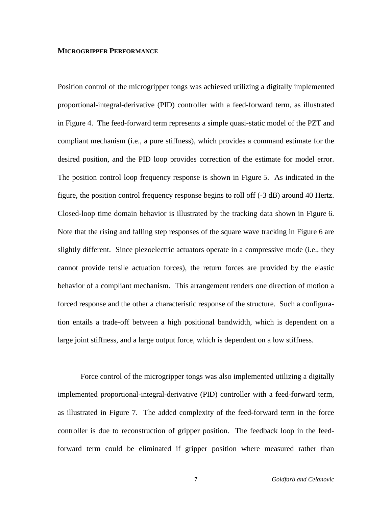### **MICROGRIPPER PERFORMANCE**

Position control of the microgripper tongs was achieved utilizing a digitally implemented proportional-integral-derivative (PID) controller with a feed-forward term, as illustrated in Figure 4. The feed-forward term represents a simple quasi-static model of the PZT and compliant mechanism (i.e., a pure stiffness), which provides a command estimate for the desired position, and the PID loop provides correction of the estimate for model error. The position control loop frequency response is shown in Figure 5. As indicated in the figure, the position control frequency response begins to roll off (-3 dB) around 40 Hertz. Closed-loop time domain behavior is illustrated by the tracking data shown in Figure 6. Note that the rising and falling step responses of the square wave tracking in Figure 6 are slightly different. Since piezoelectric actuators operate in a compressive mode (i.e., they cannot provide tensile actuation forces), the return forces are provided by the elastic behavior of a compliant mechanism. This arrangement renders one direction of motion a forced response and the other a characteristic response of the structure. Such a configuration entails a trade-off between a high positional bandwidth, which is dependent on a large joint stiffness, and a large output force, which is dependent on a low stiffness.

Force control of the microgripper tongs was also implemented utilizing a digitally implemented proportional-integral-derivative (PID) controller with a feed-forward term, as illustrated in Figure 7. The added complexity of the feed-forward term in the force controller is due to reconstruction of gripper position. The feedback loop in the feedforward term could be eliminated if gripper position where measured rather than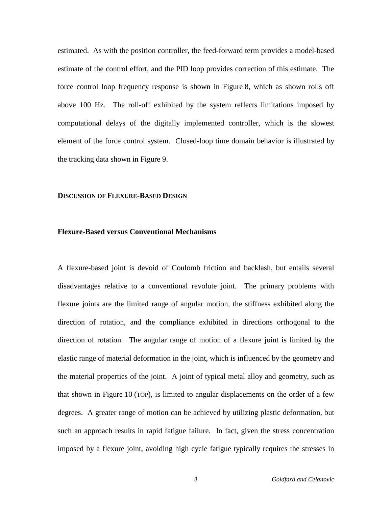estimated. As with the position controller, the feed-forward term provides a model-based estimate of the control effort, and the PID loop provides correction of this estimate. The force control loop frequency response is shown in Figure 8, which as shown rolls off above 100 Hz. The roll-off exhibited by the system reflects limitations imposed by computational delays of the digitally implemented controller, which is the slowest element of the force control system. Closed-loop time domain behavior is illustrated by the tracking data shown in Figure 9.

### **DISCUSSION OF FLEXURE-BASED DESIGN**

# **Flexure-Based versus Conventional Mechanisms**

A flexure-based joint is devoid of Coulomb friction and backlash, but entails several disadvantages relative to a conventional revolute joint. The primary problems with flexure joints are the limited range of angular motion, the stiffness exhibited along the direction of rotation, and the compliance exhibited in directions orthogonal to the direction of rotation. The angular range of motion of a flexure joint is limited by the elastic range of material deformation in the joint, which is influenced by the geometry and the material properties of the joint. A joint of typical metal alloy and geometry, such as that shown in Figure 10 (TOP), is limited to angular displacements on the order of a few degrees. A greater range of motion can be achieved by utilizing plastic deformation, but such an approach results in rapid fatigue failure. In fact, given the stress concentration imposed by a flexure joint, avoiding high cycle fatigue typically requires the stresses in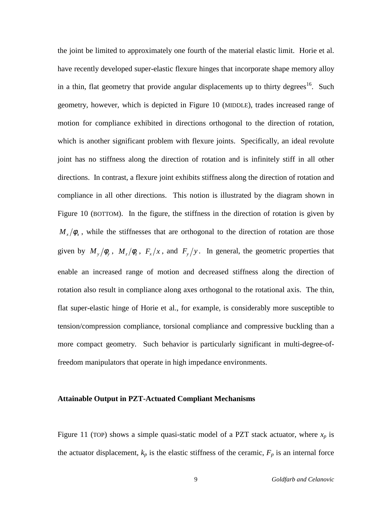the joint be limited to approximately one fourth of the material elastic limit. Horie et al. have recently developed super-elastic flexure hinges that incorporate shape memory alloy in a thin, flat geometry that provide angular displacements up to thirty degrees<sup>16</sup>. Such geometry, however, which is depicted in Figure 10 (MIDDLE), trades increased range of motion for compliance exhibited in directions orthogonal to the direction of rotation, which is another significant problem with flexure joints. Specifically, an ideal revolute joint has no stiffness along the direction of rotation and is infinitely stiff in all other directions. In contrast, a flexure joint exhibits stiffness along the direction of rotation and compliance in all other directions. This notion is illustrated by the diagram shown in Figure 10 (BOTTOM). In the figure, the stiffness in the direction of rotation is given by  $M_{x}/\phi_{x}$ , while the stiffnesses that are orthogonal to the direction of rotation are those given by  $M_y/\phi_y$ ,  $M_z/\phi_z$ ,  $F_x/x$ , and  $F_y/y$ . In general, the geometric properties that enable an increased range of motion and decreased stiffness along the direction of rotation also result in compliance along axes orthogonal to the rotational axis. The thin, flat super-elastic hinge of Horie et al., for example, is considerably more susceptible to tension/compression compliance, torsional compliance and compressive buckling than a more compact geometry. Such behavior is particularly significant in multi-degree-offreedom manipulators that operate in high impedance environments.

# **Attainable Output in PZT-Actuated Compliant Mechanisms**

Figure 11 (TOP) shows a simple quasi-static model of a PZT stack actuator, where  $x_p$  is the actuator displacement,  $k_p$  is the elastic stiffness of the ceramic,  $F_p$  is an internal force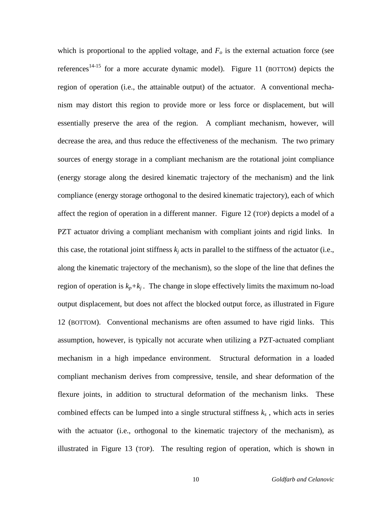which is proportional to the applied voltage, and  $F<sub>o</sub>$  is the external actuation force (see references<sup>14-15</sup> for a more accurate dynamic model). Figure 11 (BOTTOM) depicts the region of operation (i.e., the attainable output) of the actuator. A conventional mechanism may distort this region to provide more or less force or displacement, but will essentially preserve the area of the region. A compliant mechanism, however, will decrease the area, and thus reduce the effectiveness of the mechanism. The two primary sources of energy storage in a compliant mechanism are the rotational joint compliance (energy storage along the desired kinematic trajectory of the mechanism) and the link compliance (energy storage orthogonal to the desired kinematic trajectory), each of which affect the region of operation in a different manner. Figure 12 (TOP) depicts a model of a PZT actuator driving a compliant mechanism with compliant joints and rigid links. In this case, the rotational joint stiffness  $k_i$  acts in parallel to the stiffness of the actuator (i.e., along the kinematic trajectory of the mechanism), so the slope of the line that defines the region of operation is  $k_p+k_j$ . The change in slope effectively limits the maximum no-load output displacement, but does not affect the blocked output force, as illustrated in Figure 12 (BOTTOM). Conventional mechanisms are often assumed to have rigid links. This assumption, however, is typically not accurate when utilizing a PZT-actuated compliant mechanism in a high impedance environment. Structural deformation in a loaded compliant mechanism derives from compressive, tensile, and shear deformation of the flexure joints, in addition to structural deformation of the mechanism links. These combined effects can be lumped into a single structural stiffness  $k<sub>s</sub>$ , which acts in series with the actuator (i.e., orthogonal to the kinematic trajectory of the mechanism), as illustrated in Figure 13 (TOP). The resulting region of operation, which is shown in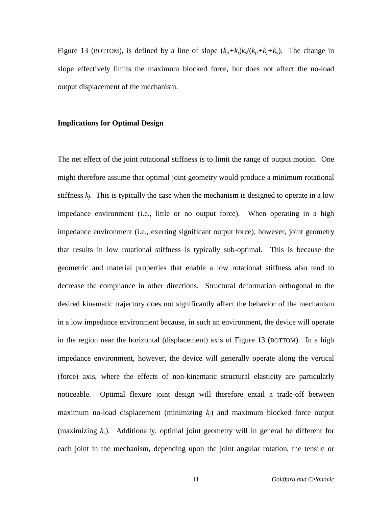Figure 13 (BOTTOM), is defined by a line of slope  $(k_p+k_i)k_s/(k_p+k_i+k_s)$ . The change in slope effectively limits the maximum blocked force, but does not affect the no-load output displacement of the mechanism.

## **Implications for Optimal Design**

The net effect of the joint rotational stiffness is to limit the range of output motion. One might therefore assume that optimal joint geometry would produce a minimum rotational stiffness  $k_i$ . This is typically the case when the mechanism is designed to operate in a low impedance environment (i.e., little or no output force). When operating in a high impedance environment (i.e., exerting significant output force), however, joint geometry that results in low rotational stiffness is typically sub-optimal. This is because the geometric and material properties that enable a low rotational stiffness also tend to decrease the compliance in other directions. Structural deformation orthogonal to the desired kinematic trajectory does not significantly affect the behavior of the mechanism in a low impedance environment because, in such an environment, the device will operate in the region near the horizontal (displacement) axis of Figure 13 (BOTTOM). In a high impedance environment, however, the device will generally operate along the vertical (force) axis, where the effects of non-kinematic structural elasticity are particularly noticeable. Optimal flexure joint design will therefore entail a trade-off between maximum no-load displacement (minimizing *kj*) and maximum blocked force output (maximizing *ks*). Additionally, optimal joint geometry will in general be different for each joint in the mechanism, depending upon the joint angular rotation, the tensile or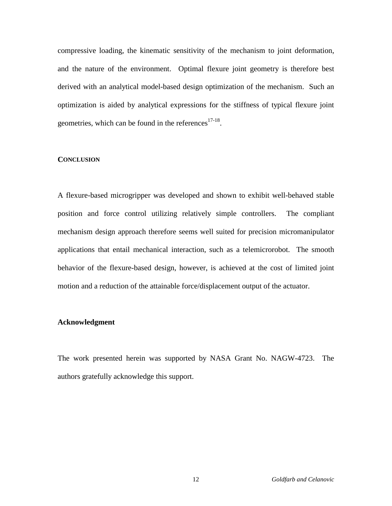compressive loading, the kinematic sensitivity of the mechanism to joint deformation, and the nature of the environment. Optimal flexure joint geometry is therefore best derived with an analytical model-based design optimization of the mechanism. Such an optimization is aided by analytical expressions for the stiffness of typical flexure joint geometries, which can be found in the references $17-18$ .

# **CONCLUSION**

A flexure-based microgripper was developed and shown to exhibit well-behaved stable position and force control utilizing relatively simple controllers. The compliant mechanism design approach therefore seems well suited for precision micromanipulator applications that entail mechanical interaction, such as a telemicrorobot. The smooth behavior of the flexure-based design, however, is achieved at the cost of limited joint motion and a reduction of the attainable force/displacement output of the actuator.

## **Acknowledgment**

The work presented herein was supported by NASA Grant No. NAGW-4723. The authors gratefully acknowledge this support.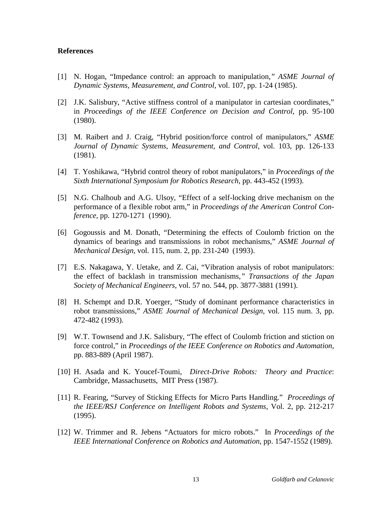# **References**

- [1] N. Hogan, "Impedance control: an approach to manipulation*," ASME Journal of Dynamic Systems, Measurement, and Control*, vol. 107, pp. 1-24 (1985).
- [2] J.K. Salisbury, "Active stiffness control of a manipulator in cartesian coordinates," in *Proceedings of the IEEE Conference on Decision and Control*, pp. 95-100 (1980).
- [3] M. Raibert and J. Craig, "Hybrid position/force control of manipulators," *ASME Journal of Dynamic Systems, Measurement, and Control*, vol. 103, pp. 126-133 (1981).
- [4] T. Yoshikawa, "Hybrid control theory of robot manipulators," in *Proceedings of the Sixth International Symposium for Robotics Research*, pp. 443-452 (1993).
- [5] N.G. Chalhoub and A.G. Ulsoy, "Effect of a self-locking drive mechanism on the performance of a flexible robot arm," in *Proceedings of the American Control Conference*, pp. 1270-1271 (1990).
- [6] Gogoussis and M. Donath, "Determining the effects of Coulomb friction on the dynamics of bearings and transmissions in robot mechanisms," *ASME Journal of Mechanical Design*, vol. 115, num. 2, pp. 231-240 (1993).
- [7] E.S. Nakagawa, Y. Uetake, and Z. Cai, "Vibration analysis of robot manipulators: the effect of backlash in transmission mechanisms*," Transactions of the Japan Society of Mechanical Engineers*, vol. 57 no. 544, pp. 3877-3881 (1991).
- [8] H. Schempt and D.R. Yoerger, "Study of dominant performance characteristics in robot transmissions," *ASME Journal of Mechanical Design*, vol. 115 num. 3, pp. 472-482 (1993).
- [9] W.T. Townsend and J.K. Salisbury, "The effect of Coulomb friction and stiction on force control," in *Proceedings of the IEEE Conference on Robotics and Automation*, pp. 883-889 (April 1987).
- [10] H. Asada and K. Youcef-Toumi, *Direct-Drive Robots: Theory and Practice*: Cambridge, Massachusetts, MIT Press (1987).
- [11] R. Fearing, "Survey of Sticking Effects for Micro Parts Handling." *Proceedings of the IEEE/RSJ Conference on Intelligent Robots and Systems*, Vol. 2, pp. 212-217 (1995).
- [12] W. Trimmer and R. Jebens "Actuators for micro robots." In *Proceedings of the IEEE International Conference on Robotics and Automation*, pp. 1547-1552 (1989).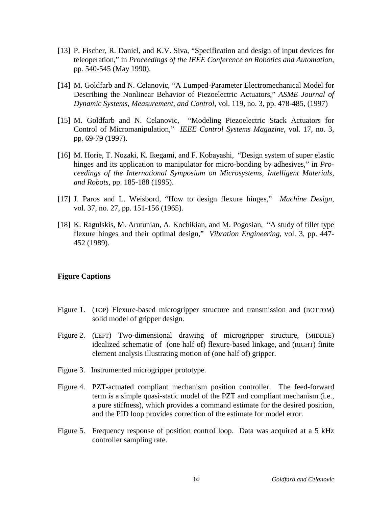- [13] P. Fischer, R. Daniel, and K.V. Siva, "Specification and design of input devices for teleoperation," in *Proceedings of the IEEE Conference on Robotics and Automation*, pp. 540-545 (May 1990).
- [14] M. Goldfarb and N. Celanovic, "A Lumped-Parameter Electromechanical Model for Describing the Nonlinear Behavior of Piezoelectric Actuators," *ASME Journal of Dynamic Systems, Measurement, and Control*, vol. 119, no. 3, pp. 478-485, (1997)
- [15] M. Goldfarb and N. Celanovic, "Modeling Piezoelectric Stack Actuators for Control of Micromanipulation," *IEEE Control Systems Magazine*, vol. 17, no. 3, pp. 69-79 (1997).
- [16] M. Horie, T. Nozaki, K. Ikegami, and F. Kobayashi, "Design system of super elastic hinges and its application to manipulator for micro-bonding by adhesives," in *Proceedings of the International Symposium on Microsystems, Intelligent Materials, and Robots*, pp. 185-188 (1995).
- [17] J. Paros and L. Weisbord, "How to design flexure hinges," *Machine Design*, vol. 37, no. 27, pp. 151-156 (1965).
- [18] K. Ragulskis, M. Arutunian, A. Kochikian, and M. Pogosian, "A study of fillet type flexure hinges and their optimal design," *Vibration Engineering*, vol. 3, pp. 447- 452 (1989).

# **Figure Captions**

- Figure 1. (TOP) Flexure-based microgripper structure and transmission and (BOTTOM) solid model of gripper design.
- Figure 2. (LEFT) Two-dimensional drawing of microgripper structure, (MIDDLE) idealized schematic of (one half of) flexure-based linkage, and (RIGHT) finite element analysis illustrating motion of (one half of) gripper.
- Figure 3. Instrumented microgripper prototype.
- Figure 4. PZT-actuated compliant mechanism position controller. The feed-forward term is a simple quasi-static model of the PZT and compliant mechanism (i.e., a pure stiffness), which provides a command estimate for the desired position, and the PID loop provides correction of the estimate for model error.
- Figure 5. Frequency response of position control loop. Data was acquired at a 5 kHz controller sampling rate.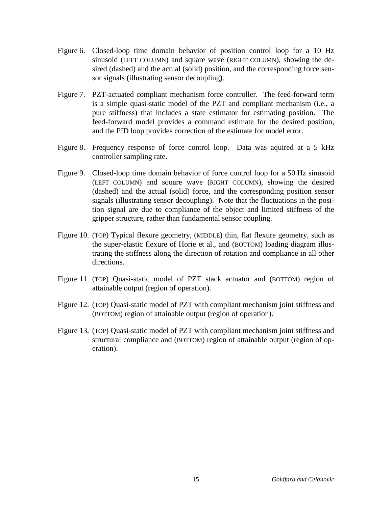- Figure 6. Closed-loop time domain behavior of position control loop for a 10 Hz sinusoid (LEFT COLUMN) and square wave (RIGHT COLUMN), showing the desired (dashed) and the actual (solid) position, and the corresponding force sensor signals (illustrating sensor decoupling).
- Figure 7. PZT-actuated compliant mechanism force controller. The feed-forward term is a simple quasi-static model of the PZT and compliant mechanism (i.e., a pure stiffness) that includes a state estimator for estimating position. The feed-forward model provides a command estimate for the desired position, and the PID loop provides correction of the estimate for model error.
- Figure 8. Frequency response of force control loop. Data was aquired at a 5 kHz controller sampling rate.
- Figure 9. Closed-loop time domain behavior of force control loop for a 50 Hz sinusoid (LEFT COLUMN) and square wave (RIGHT COLUMN), showing the desired (dashed) and the actual (solid) force, and the corresponding position sensor signals (illustrating sensor decoupling). Note that the fluctuations in the position signal are due to compliance of the object and limited stiffness of the gripper structure, rather than fundamental sensor coupling.
- Figure 10. (TOP) Typical flexure geometry, (MIDDLE) thin, flat flexure geometry, such as the super-elastic flexure of Horie et al., and (BOTTOM) loading diagram illustrating the stiffness along the direction of rotation and compliance in all other directions.
- Figure 11. (TOP) Quasi-static model of PZT stack actuator and (BOTTOM) region of attainable output (region of operation).
- Figure 12. (TOP) Quasi-static model of PZT with compliant mechanism joint stiffness and (BOTTOM) region of attainable output (region of operation).
- Figure 13. (TOP) Quasi-static model of PZT with compliant mechanism joint stiffness and structural compliance and (BOTTOM) region of attainable output (region of operation).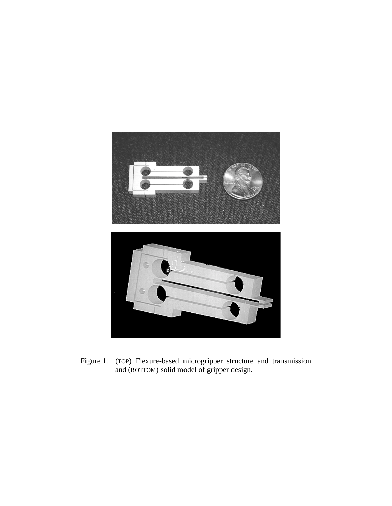

Figure 1. (TOP) Flexure-based microgripper structure and transmission and (BOTTOM) solid model of gripper design.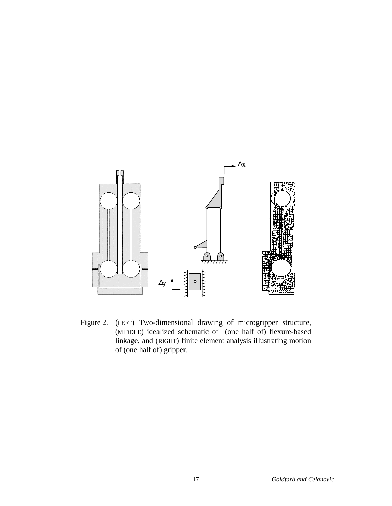

Figure 2. (LEFT) Two-dimensional drawing of microgripper structure, (MIDDLE) idealized schematic of (one half of) flexure-based linkage, and (RIGHT) finite element analysis illustrating motion of (one half of) gripper.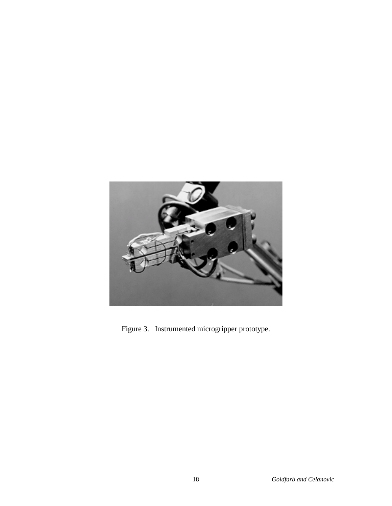

Figure 3. Instrumented microgripper prototype.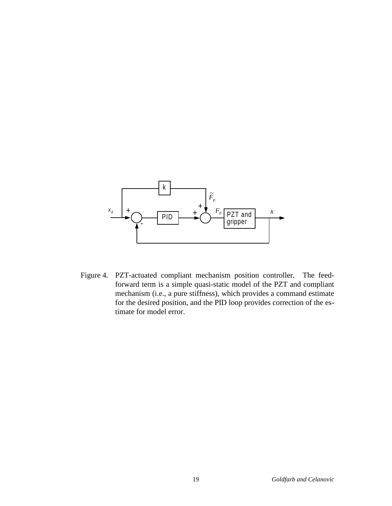

Figure 4. PZT-actuated compliant mechanism position controller. The feedforward term is a simple quasi-static model of the PZT and compliant mechanism (i.e., a pure stiffness), which provides a command estimate for the desired position, and the PID loop provides correction of the estimate for model error.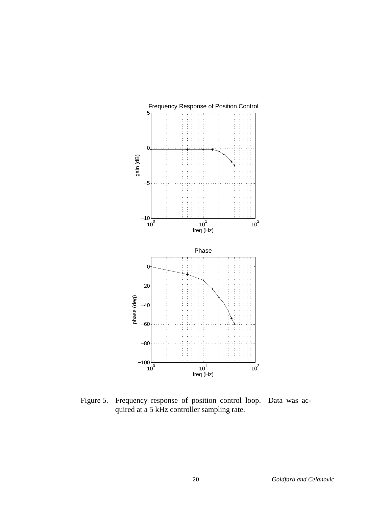

Figure 5. Frequency response of position control loop. Data was acquired at a 5 kHz controller sampling rate.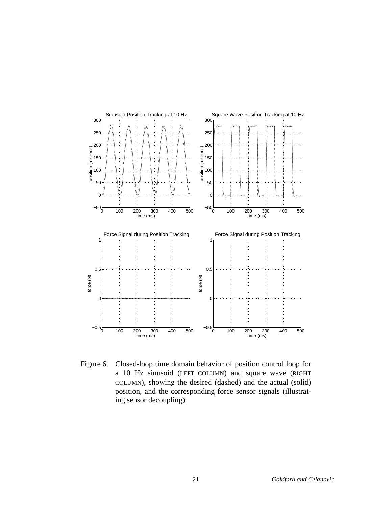

Figure 6. Closed-loop time domain behavior of position control loop for a 10 Hz sinusoid (LEFT COLUMN) and square wave (RIGHT COLUMN), showing the desired (dashed) and the actual (solid) position, and the corresponding force sensor signals (illustrating sensor decoupling).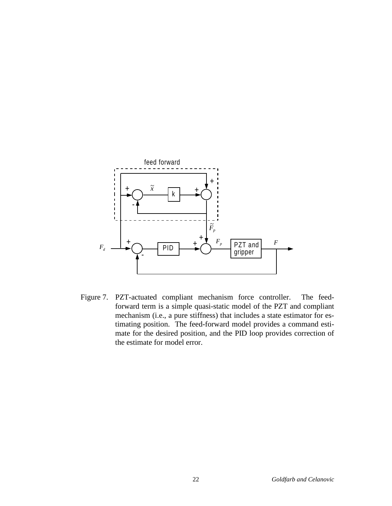

Figure 7. PZT-actuated compliant mechanism force controller. The feedforward term is a simple quasi-static model of the PZT and compliant mechanism (i.e., a pure stiffness) that includes a state estimator for estimating position. The feed-forward model provides a command estimate for the desired position, and the PID loop provides correction of the estimate for model error.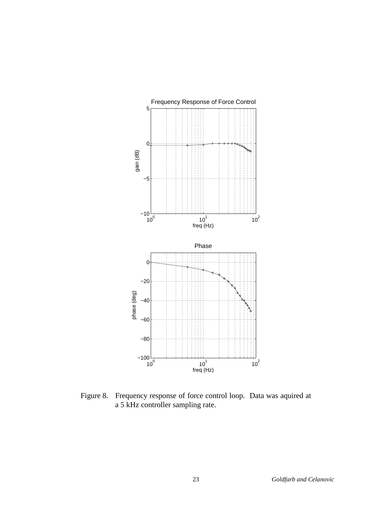

Figure 8. Frequency response of force control loop. Data was aquired at a 5 kHz controller sampling rate.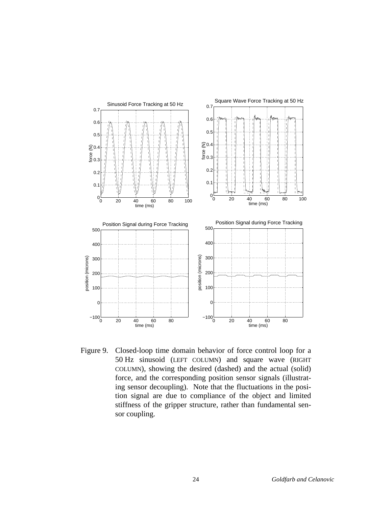

Figure 9. Closed-loop time domain behavior of force control loop for a 50 Hz sinusoid (LEFT COLUMN) and square wave (RIGHT COLUMN), showing the desired (dashed) and the actual (solid) force, and the corresponding position sensor signals (illustrating sensor decoupling). Note that the fluctuations in the position signal are due to compliance of the object and limited stiffness of the gripper structure, rather than fundamental sensor coupling.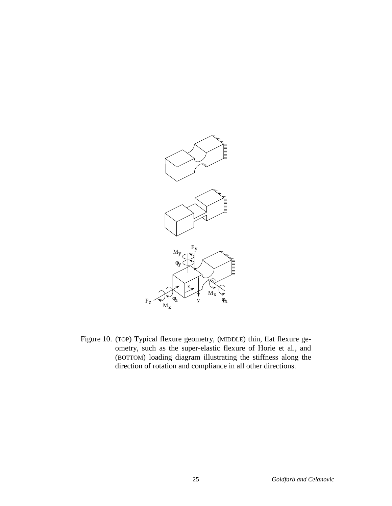

Figure 10. (TOP) Typical flexure geometry, (MIDDLE) thin, flat flexure geometry, such as the super-elastic flexure of Horie et al., and (BOTTOM) loading diagram illustrating the stiffness along the direction of rotation and compliance in all other directions.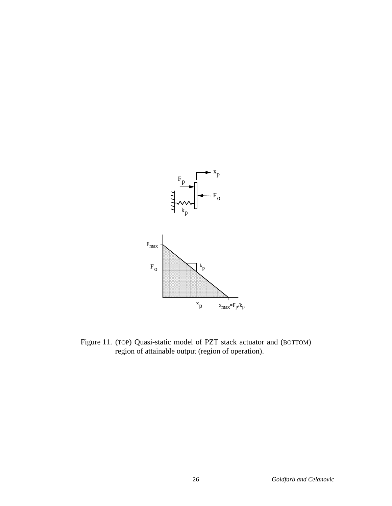

Figure 11. (TOP) Quasi-static model of PZT stack actuator and (BOTTOM) region of attainable output (region of operation).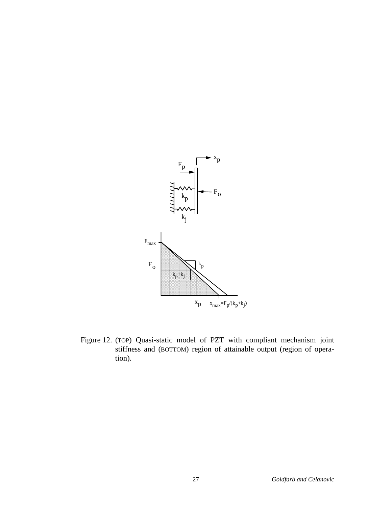

Figure 12. (TOP) Quasi-static model of PZT with compliant mechanism joint stiffness and (BOTTOM) region of attainable output (region of operation).